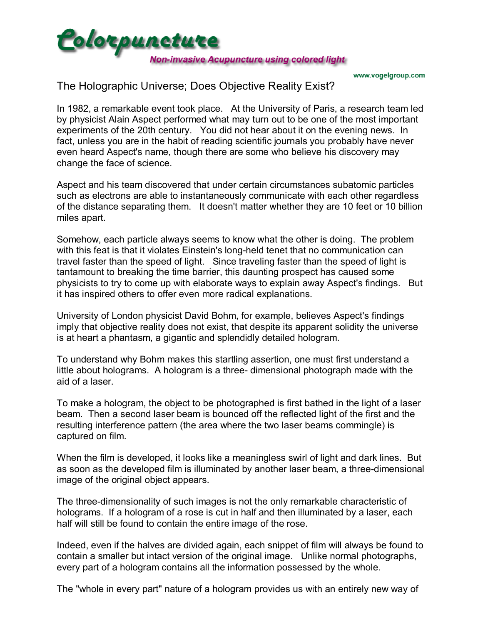

www.vogelgroup.com

# The Holographic Universe; Does Objective Reality Exist?

In 1982, a remarkable event took place. At the University of Paris, a research team led by physicist Alain Aspect performed what may turn out to be one of the most important experiments of the 20th century. You did not hear about it on the evening news. In fact, unless you are in the habit of reading scientific journals you probably have never even heard Aspect's name, though there are some who believe his discovery may change the face of science.

Aspect and his team discovered that under certain circumstances subatomic particles such as electrons are able to instantaneously communicate with each other regardless of the distance separating them. It doesn't matter whether they are 10 feet or 10 billion miles apart.

Somehow, each particle always seems to know what the other is doing. The problem with this feat is that it violates Einstein's long-held tenet that no communication can travel faster than the speed of light. Since traveling faster than the speed of light is tantamount to breaking the time barrier, this daunting prospect has caused some physicists to try to come up with elaborate ways to explain away Aspect's findings. But it has inspired others to offer even more radical explanations.

University of London physicist David Bohm, for example, believes Aspect's findings imply that objective reality does not exist, that despite its apparent solidity the universe is at heart a phantasm, a gigantic and splendidly detailed hologram.

To understand why Bohm makes this startling assertion, one must first understand a little about holograms. A hologram is a three- dimensional photograph made with the aid of a laser.

To make a hologram, the object to be photographed is first bathed in the light of a laser beam. Then a second laser beam is bounced off the reflected light of the first and the resulting interference pattern (the area where the two laser beams commingle) is captured on film.

When the film is developed, it looks like a meaningless swirl of light and dark lines. But as soon as the developed film is illuminated by another laser beam, a three-dimensional image of the original object appears.

The three-dimensionality of such images is not the only remarkable characteristic of holograms. If a hologram of a rose is cut in half and then illuminated by a laser, each half will still be found to contain the entire image of the rose.

Indeed, even if the halves are divided again, each snippet of film will always be found to contain a smaller but intact version of the original image. Unlike normal photographs, every part of a hologram contains all the information possessed by the whole.

The "whole in every part" nature of a hologram provides us with an entirely new way of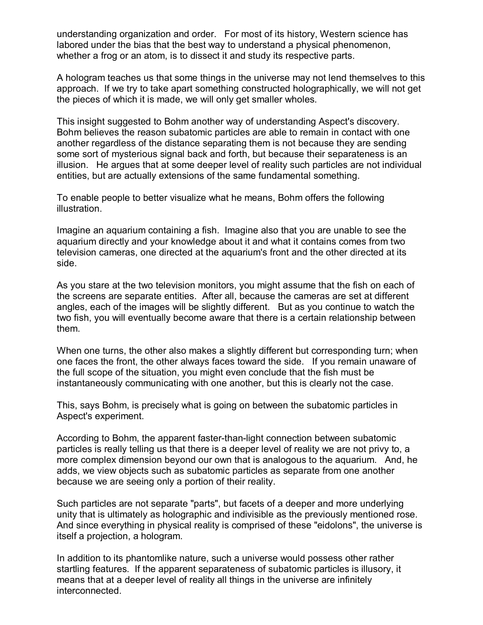understanding organization and order. For most of its history, Western science has labored under the bias that the best way to understand a physical phenomenon, whether a frog or an atom, is to dissect it and study its respective parts.

A hologram teaches us that some things in the universe may not lend themselves to this approach. If we try to take apart something constructed holographically, we will not get the pieces of which it is made, we will only get smaller wholes.

This insight suggested to Bohm another way of understanding Aspect's discovery. Bohm believes the reason subatomic particles are able to remain in contact with one another regardless of the distance separating them is not because they are sending some sort of mysterious signal back and forth, but because their separateness is an illusion. He argues that at some deeper level of reality such particles are not individual entities, but are actually extensions of the same fundamental something.

To enable people to better visualize what he means, Bohm offers the following illustration.

Imagine an aquarium containing a fish. Imagine also that you are unable to see the aquarium directly and your knowledge about it and what it contains comes from two television cameras, one directed at the aquarium's front and the other directed at its side.

As you stare at the two television monitors, you might assume that the fish on each of the screens are separate entities. After all, because the cameras are set at different angles, each of the images will be slightly different. But as you continue to watch the two fish, you will eventually become aware that there is a certain relationship between them.

When one turns, the other also makes a slightly different but corresponding turn; when one faces the front, the other always faces toward the side. If you remain unaware of the full scope of the situation, you might even conclude that the fish must be instantaneously communicating with one another, but this is clearly not the case.

This, says Bohm, is precisely what is going on between the subatomic particles in Aspect's experiment.

According to Bohm, the apparent faster-than-light connection between subatomic particles is really telling us that there is a deeper level of reality we are not privy to, a more complex dimension beyond our own that is analogous to the aquarium. And, he adds, we view objects such as subatomic particles as separate from one another because we are seeing only a portion of their reality.

Such particles are not separate "parts", but facets of a deeper and more underlying unity that is ultimately as holographic and indivisible as the previously mentioned rose. And since everything in physical reality is comprised of these "eidolons", the universe is itself a projection, a hologram.

In addition to its phantomlike nature, such a universe would possess other rather startling features. If the apparent separateness of subatomic particles is illusory, it means that at a deeper level of reality all things in the universe are infinitely interconnected.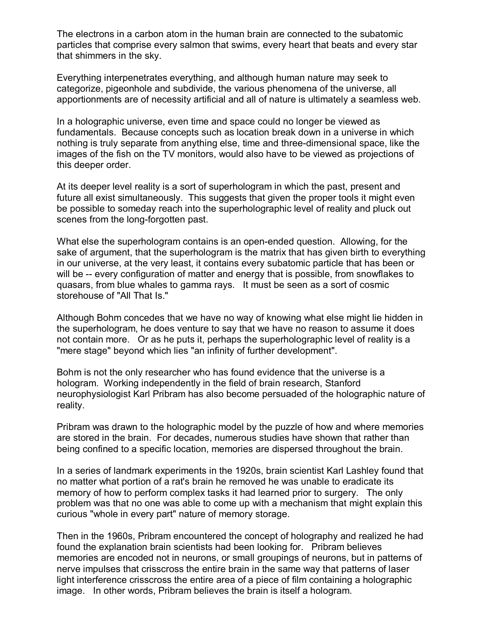The electrons in a carbon atom in the human brain are connected to the subatomic particles that comprise every salmon that swims, every heart that beats and every star that shimmers in the sky.

Everything interpenetrates everything, and although human nature may seek to categorize, pigeonhole and subdivide, the various phenomena of the universe, all apportionments are of necessity artificial and all of nature is ultimately a seamless web.

In a holographic universe, even time and space could no longer be viewed as fundamentals. Because concepts such as location break down in a universe in which nothing is truly separate from anything else, time and three-dimensional space, like the images of the fish on the TV monitors, would also have to be viewed as projections of this deeper order.

At its deeper level reality is a sort of superhologram in which the past, present and future all exist simultaneously. This suggests that given the proper tools it might even be possible to someday reach into the superholographic level of reality and pluck out scenes from the long-forgotten past.

What else the superhologram contains is an open-ended question. Allowing, for the sake of argument, that the superhologram is the matrix that has given birth to everything in our universe, at the very least, it contains every subatomic particle that has been or will be -- every configuration of matter and energy that is possible, from snowflakes to quasars, from blue whales to gamma rays. It must be seen as a sort of cosmic storehouse of "All That Is."

Although Bohm concedes that we have no way of knowing what else might lie hidden in the superhologram, he does venture to say that we have no reason to assume it does not contain more. Or as he puts it, perhaps the superholographic level of reality is a "mere stage" beyond which lies "an infinity of further development".

Bohm is not the only researcher who has found evidence that the universe is a hologram. Working independently in the field of brain research, Stanford neurophysiologist Karl Pribram has also become persuaded of the holographic nature of reality.

Pribram was drawn to the holographic model by the puzzle of how and where memories are stored in the brain. For decades, numerous studies have shown that rather than being confined to a specific location, memories are dispersed throughout the brain.

In a series of landmark experiments in the 1920s, brain scientist Karl Lashley found that no matter what portion of a rat's brain he removed he was unable to eradicate its memory of how to perform complex tasks it had learned prior to surgery. The only problem was that no one was able to come up with a mechanism that might explain this curious "whole in every part" nature of memory storage.

Then in the 1960s, Pribram encountered the concept of holography and realized he had found the explanation brain scientists had been looking for. Pribram believes memories are encoded not in neurons, or small groupings of neurons, but in patterns of nerve impulses that crisscross the entire brain in the same way that patterns of laser light interference crisscross the entire area of a piece of film containing a holographic image. In other words, Pribram believes the brain is itself a hologram.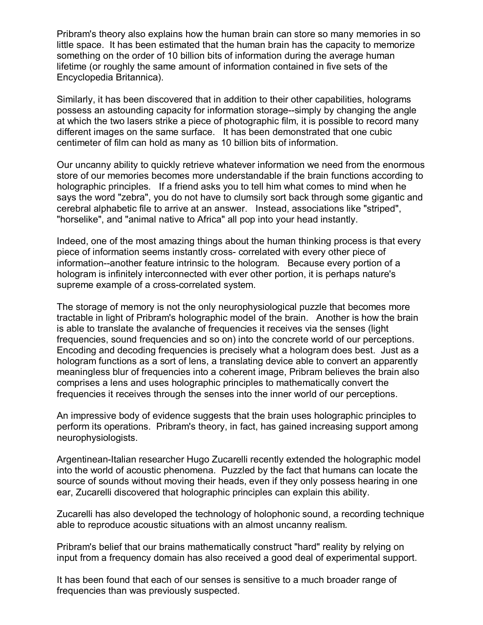Pribram's theory also explains how the human brain can store so many memories in so little space. It has been estimated that the human brain has the capacity to memorize something on the order of 10 billion bits of information during the average human lifetime (or roughly the same amount of information contained in five sets of the Encyclopedia Britannica).

Similarly, it has been discovered that in addition to their other capabilities, holograms possess an astounding capacity for information storage--simply by changing the angle at which the two lasers strike a piece of photographic film, it is possible to record many different images on the same surface. It has been demonstrated that one cubic centimeter of film can hold as many as 10 billion bits of information.

Our uncanny ability to quickly retrieve whatever information we need from the enormous store of our memories becomes more understandable if the brain functions according to holographic principles. If a friend asks you to tell him what comes to mind when he says the word "zebra", you do not have to clumsily sort back through some gigantic and cerebral alphabetic file to arrive at an answer. Instead, associations like "striped", "horselike", and "animal native to Africa" all pop into your head instantly.

Indeed, one of the most amazing things about the human thinking process is that every piece of information seems instantly cross- correlated with every other piece of information--another feature intrinsic to the hologram. Because every portion of a hologram is infinitely interconnected with ever other portion, it is perhaps nature's supreme example of a cross-correlated system.

The storage of memory is not the only neurophysiological puzzle that becomes more tractable in light of Pribram's holographic model of the brain. Another is how the brain is able to translate the avalanche of frequencies it receives via the senses (light frequencies, sound frequencies and so on) into the concrete world of our perceptions. Encoding and decoding frequencies is precisely what a hologram does best. Just as a hologram functions as a sort of lens, a translating device able to convert an apparently meaningless blur of frequencies into a coherent image, Pribram believes the brain also comprises a lens and uses holographic principles to mathematically convert the frequencies it receives through the senses into the inner world of our perceptions.

An impressive body of evidence suggests that the brain uses holographic principles to perform its operations. Pribram's theory, in fact, has gained increasing support among neurophysiologists.

Argentinean-Italian researcher Hugo Zucarelli recently extended the holographic model into the world of acoustic phenomena. Puzzled by the fact that humans can locate the source of sounds without moving their heads, even if they only possess hearing in one ear, Zucarelli discovered that holographic principles can explain this ability.

Zucarelli has also developed the technology of holophonic sound, a recording technique able to reproduce acoustic situations with an almost uncanny realism.

Pribram's belief that our brains mathematically construct "hard" reality by relying on input from a frequency domain has also received a good deal of experimental support.

It has been found that each of our senses is sensitive to a much broader range of frequencies than was previously suspected.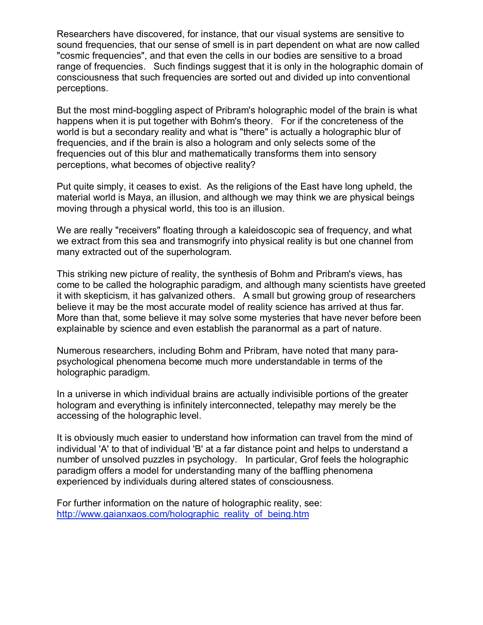Researchers have discovered, for instance, that our visual systems are sensitive to sound frequencies, that our sense of smell is in part dependent on what are now called "cosmic frequencies", and that even the cells in our bodies are sensitive to a broad range of frequencies. Such findings suggest that it is only in the holographic domain of consciousness that such frequencies are sorted out and divided up into conventional perceptions.

But the most mind-boggling aspect of Pribram's holographic model of the brain is what happens when it is put together with Bohm's theory. For if the concreteness of the world is but a secondary reality and what is "there" is actually a holographic blur of frequencies, and if the brain is also a hologram and only selects some of the frequencies out of this blur and mathematically transforms them into sensory perceptions, what becomes of objective reality?

Put quite simply, it ceases to exist. As the religions of the East have long upheld, the material world is Maya, an illusion, and although we may think we are physical beings moving through a physical world, this too is an illusion.

We are really "receivers" floating through a kaleidoscopic sea of frequency, and what we extract from this sea and transmogrify into physical reality is but one channel from many extracted out of the superhologram.

This striking new picture of reality, the synthesis of Bohm and Pribram's views, has come to be called the holographic paradigm, and although many scientists have greeted it with skepticism, it has galvanized others. A small but growing group of researchers believe it may be the most accurate model of reality science has arrived at thus far. More than that, some believe it may solve some mysteries that have never before been explainable by science and even establish the paranormal as a part of nature.

Numerous researchers, including Bohm and Pribram, have noted that many parapsychological phenomena become much more understandable in terms of the holographic paradigm.

In a universe in which individual brains are actually indivisible portions of the greater hologram and everything is infinitely interconnected, telepathy may merely be the accessing of the holographic level.

It is obviously much easier to understand how information can travel from the mind of individual 'A' to that of individual 'B' at a far distance point and helps to understand a number of unsolved puzzles in psychology. In particular, Grof feels the holographic paradigm offers a model for understanding many of the baffling phenomena experienced by individuals during altered states of consciousness.

For further information on the nature of holographic reality, see: [http://www.gaianxaos.com/holographic\\_reality\\_of\\_being.htm](http://www.gaianxaos.com/holographic_reality_of_being.htm)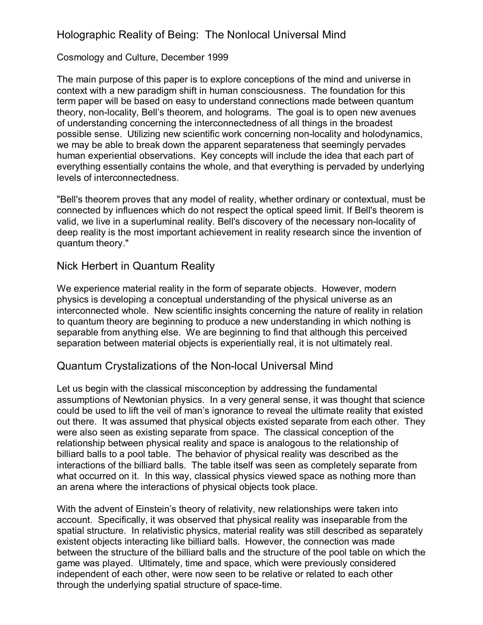# Holographic Reality of Being: The Nonlocal Universal Mind

#### Cosmology and Culture, December 1999

The main purpose of this paper is to explore conceptions of the mind and universe in context with a new paradigm shift in human consciousness. The foundation for this term paper will be based on easy to understand connections made between quantum theory, non-locality, Bellís theorem, and holograms. The goal is to open new avenues of understanding concerning the interconnectedness of all things in the broadest possible sense. Utilizing new scientific work concerning non-locality and holodynamics, we may be able to break down the apparent separateness that seemingly pervades human experiential observations. Key concepts will include the idea that each part of everything essentially contains the whole, and that everything is pervaded by underlying levels of interconnectedness.

"Bell's theorem proves that any model of reality, whether ordinary or contextual, must be connected by influences which do not respect the optical speed limit. If Bell's theorem is valid, we live in a superluminal reality. Bell's discovery of the necessary non-locality of deep reality is the most important achievement in reality research since the invention of quantum theory."

## Nick Herbert in Quantum Reality

We experience material reality in the form of separate objects. However, modern physics is developing a conceptual understanding of the physical universe as an interconnected whole. New scientific insights concerning the nature of reality in relation to quantum theory are beginning to produce a new understanding in which nothing is separable from anything else. We are beginning to find that although this perceived separation between material objects is experientially real, it is not ultimately real.

### Quantum Crystalizations of the Non-local Universal Mind

Let us begin with the classical misconception by addressing the fundamental assumptions of Newtonian physics. In a very general sense, it was thought that science could be used to lift the veil of man's ignorance to reveal the ultimate reality that existed out there. It was assumed that physical objects existed separate from each other. They were also seen as existing separate from space. The classical conception of the relationship between physical reality and space is analogous to the relationship of billiard balls to a pool table. The behavior of physical reality was described as the interactions of the billiard balls. The table itself was seen as completely separate from what occurred on it. In this way, classical physics viewed space as nothing more than an arena where the interactions of physical objects took place.

With the advent of Einstein's theory of relativity, new relationships were taken into account. Specifically, it was observed that physical reality was inseparable from the spatial structure. In relativistic physics, material reality was still described as separately existent objects interacting like billiard balls. However, the connection was made between the structure of the billiard balls and the structure of the pool table on which the game was played. Ultimately, time and space, which were previously considered independent of each other, were now seen to be relative or related to each other through the underlying spatial structure of space-time.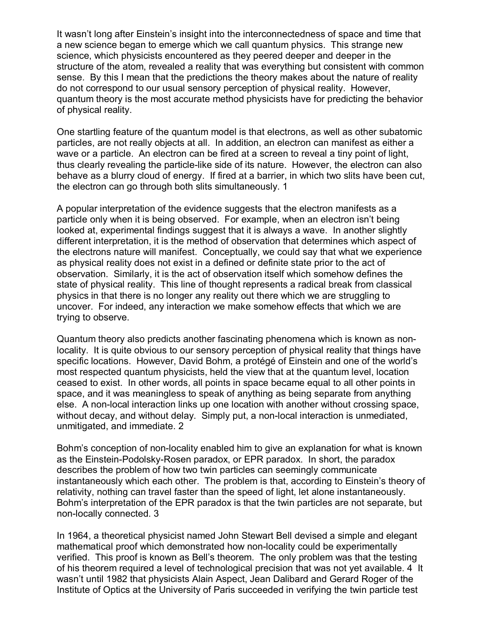It wasn't long after Einstein's insight into the interconnectedness of space and time that a new science began to emerge which we call quantum physics. This strange new science, which physicists encountered as they peered deeper and deeper in the structure of the atom, revealed a reality that was everything but consistent with common sense. By this I mean that the predictions the theory makes about the nature of reality do not correspond to our usual sensory perception of physical reality. However, quantum theory is the most accurate method physicists have for predicting the behavior of physical reality.

One startling feature of the quantum model is that electrons, as well as other subatomic particles, are not really objects at all. In addition, an electron can manifest as either a wave or a particle. An electron can be fired at a screen to reveal a tiny point of light, thus clearly revealing the particle-like side of its nature. However, the electron can also behave as a blurry cloud of energy. If fired at a barrier, in which two slits have been cut, the electron can go through both slits simultaneously. 1

A popular interpretation of the evidence suggests that the electron manifests as a particle only when it is being observed. For example, when an electron isn't being looked at, experimental findings suggest that it is always a wave. In another slightly different interpretation, it is the method of observation that determines which aspect of the electrons nature will manifest. Conceptually, we could say that what we experience as physical reality does not exist in a defined or definite state prior to the act of observation. Similarly, it is the act of observation itself which somehow defines the state of physical reality. This line of thought represents a radical break from classical physics in that there is no longer any reality out there which we are struggling to uncover. For indeed, any interaction we make somehow effects that which we are trying to observe.

Quantum theory also predicts another fascinating phenomena which is known as nonlocality. It is quite obvious to our sensory perception of physical reality that things have specific locations. However, David Bohm, a protégé of Einstein and one of the world's most respected quantum physicists, held the view that at the quantum level, location ceased to exist. In other words, all points in space became equal to all other points in space, and it was meaningless to speak of anything as being separate from anything else. A non-local interaction links up one location with another without crossing space, without decay, and without delay. Simply put, a non-local interaction is unmediated, unmitigated, and immediate. 2

Bohmís conception of non-locality enabled him to give an explanation for what is known as the Einstein-Podolsky-Rosen paradox, or EPR paradox. In short, the paradox describes the problem of how two twin particles can seemingly communicate instantaneously which each other. The problem is that, according to Einstein's theory of relativity, nothing can travel faster than the speed of light, let alone instantaneously. Bohmís interpretation of the EPR paradox is that the twin particles are not separate, but non-locally connected. 3

In 1964, a theoretical physicist named John Stewart Bell devised a simple and elegant mathematical proof which demonstrated how non-locality could be experimentally verified. This proof is known as Bell's theorem. The only problem was that the testing of his theorem required a level of technological precision that was not yet available. 4 It wasnít until 1982 that physicists Alain Aspect, Jean Dalibard and Gerard Roger of the Institute of Optics at the University of Paris succeeded in verifying the twin particle test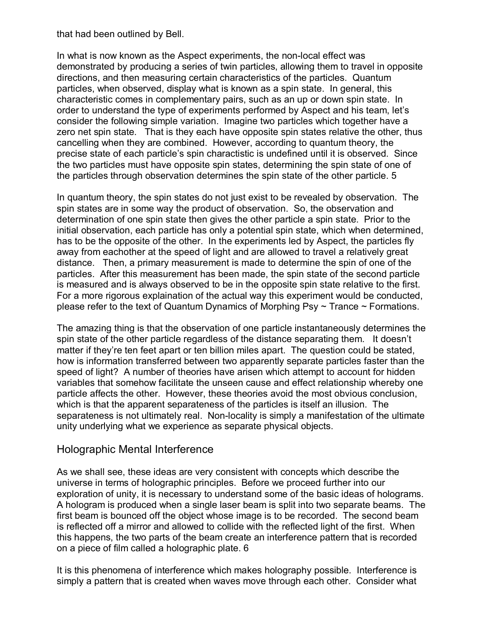that had been outlined by Bell.

In what is now known as the Aspect experiments, the non-local effect was demonstrated by producing a series of twin particles, allowing them to travel in opposite directions, and then measuring certain characteristics of the particles. Quantum particles, when observed, display what is known as a spin state. In general, this characteristic comes in complementary pairs, such as an up or down spin state. In order to understand the type of experiments performed by Aspect and his team, letís consider the following simple variation. Imagine two particles which together have a zero net spin state. That is they each have opposite spin states relative the other, thus cancelling when they are combined. However, according to quantum theory, the precise state of each particle's spin charactistic is undefined until it is observed. Since the two particles must have opposite spin states, determining the spin state of one of the particles through observation determines the spin state of the other particle. 5

In quantum theory, the spin states do not just exist to be revealed by observation. The spin states are in some way the product of observation. So, the observation and determination of one spin state then gives the other particle a spin state. Prior to the initial observation, each particle has only a potential spin state, which when determined, has to be the opposite of the other. In the experiments led by Aspect, the particles fly away from eachother at the speed of light and are allowed to travel a relatively great distance. Then, a primary measurement is made to determine the spin of one of the particles. After this measurement has been made, the spin state of the second particle is measured and is always observed to be in the opposite spin state relative to the first. For a more rigorous explaination of the actual way this experiment would be conducted, please refer to the text of Quantum Dynamics of Morphing Psy  $\sim$  Trance  $\sim$  Formations.

The amazing thing is that the observation of one particle instantaneously determines the spin state of the other particle regardless of the distance separating them. It doesn't matter if they're ten feet apart or ten billion miles apart. The question could be stated, how is information transferred between two apparently separate particles faster than the speed of light? A number of theories have arisen which attempt to account for hidden variables that somehow facilitate the unseen cause and effect relationship whereby one particle affects the other. However, these theories avoid the most obvious conclusion, which is that the apparent separateness of the particles is itself an illusion. The separateness is not ultimately real. Non-locality is simply a manifestation of the ultimate unity underlying what we experience as separate physical objects.

### Holographic Mental Interference

As we shall see, these ideas are very consistent with concepts which describe the universe in terms of holographic principles. Before we proceed further into our exploration of unity, it is necessary to understand some of the basic ideas of holograms. A hologram is produced when a single laser beam is split into two separate beams. The first beam is bounced off the object whose image is to be recorded. The second beam is reflected off a mirror and allowed to collide with the reflected light of the first. When this happens, the two parts of the beam create an interference pattern that is recorded on a piece of film called a holographic plate. 6

It is this phenomena of interference which makes holography possible. Interference is simply a pattern that is created when waves move through each other. Consider what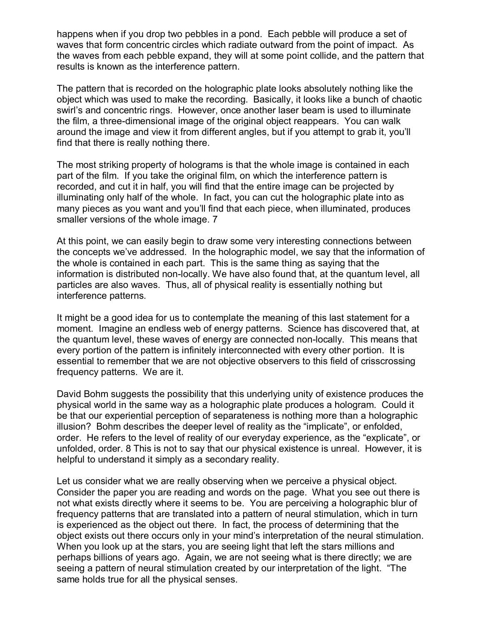happens when if you drop two pebbles in a pond. Each pebble will produce a set of waves that form concentric circles which radiate outward from the point of impact. As the waves from each pebble expand, they will at some point collide, and the pattern that results is known as the interference pattern.

The pattern that is recorded on the holographic plate looks absolutely nothing like the object which was used to make the recording. Basically, it looks like a bunch of chaotic swirl's and concentric rings. However, once another laser beam is used to illuminate the film, a three-dimensional image of the original object reappears. You can walk around the image and view it from different angles, but if you attempt to grab it, youíll find that there is really nothing there.

The most striking property of holograms is that the whole image is contained in each part of the film. If you take the original film, on which the interference pattern is recorded, and cut it in half, you will find that the entire image can be projected by illuminating only half of the whole. In fact, you can cut the holographic plate into as many pieces as you want and you'll find that each piece, when illuminated, produces smaller versions of the whole image. 7

At this point, we can easily begin to draw some very interesting connections between the concepts weíve addressed. In the holographic model, we say that the information of the whole is contained in each part. This is the same thing as saying that the information is distributed non-locally. We have also found that, at the quantum level, all particles are also waves. Thus, all of physical reality is essentially nothing but interference patterns.

It might be a good idea for us to contemplate the meaning of this last statement for a moment. Imagine an endless web of energy patterns. Science has discovered that, at the quantum level, these waves of energy are connected non-locally. This means that every portion of the pattern is infinitely interconnected with every other portion. It is essential to remember that we are not objective observers to this field of crisscrossing frequency patterns. We are it.

David Bohm suggests the possibility that this underlying unity of existence produces the physical world in the same way as a holographic plate produces a hologram. Could it be that our experiential perception of separateness is nothing more than a holographic illusion? Bohm describes the deeper level of reality as the "implicate", or enfolded, order. He refers to the level of reality of our everyday experience, as the "explicate", or unfolded, order. 8 This is not to say that our physical existence is unreal. However, it is helpful to understand it simply as a secondary reality.

Let us consider what we are really observing when we perceive a physical object. Consider the paper you are reading and words on the page. What you see out there is not what exists directly where it seems to be. You are perceiving a holographic blur of frequency patterns that are translated into a pattern of neural stimulation, which in turn is experienced as the object out there. In fact, the process of determining that the object exists out there occurs only in your mindís interpretation of the neural stimulation. When you look up at the stars, you are seeing light that left the stars millions and perhaps billions of years ago. Again, we are not seeing what is there directly; we are seeing a pattern of neural stimulation created by our interpretation of the light. "The same holds true for all the physical senses.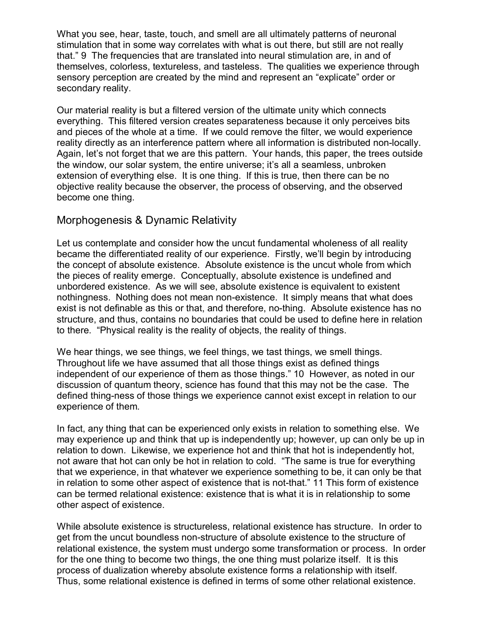What you see, hear, taste, touch, and smell are all ultimately patterns of neuronal stimulation that in some way correlates with what is out there, but still are not really that.î 9 The frequencies that are translated into neural stimulation are, in and of themselves, colorless, textureless, and tasteless. The qualities we experience through sensory perception are created by the mind and represent an "explicate" order or secondary reality.

Our material reality is but a filtered version of the ultimate unity which connects everything. This filtered version creates separateness because it only perceives bits and pieces of the whole at a time. If we could remove the filter, we would experience reality directly as an interference pattern where all information is distributed non-locally. Again, let's not forget that we are this pattern. Your hands, this paper, the trees outside the window, our solar system, the entire universe; it's all a seamless, unbroken extension of everything else. It is one thing. If this is true, then there can be no objective reality because the observer, the process of observing, and the observed become one thing.

## Morphogenesis & Dynamic Relativity

Let us contemplate and consider how the uncut fundamental wholeness of all reality became the differentiated reality of our experience. Firstly, we'll begin by introducing the concept of absolute existence. Absolute existence is the uncut whole from which the pieces of reality emerge. Conceptually, absolute existence is undefined and unbordered existence. As we will see, absolute existence is equivalent to existent nothingness. Nothing does not mean non-existence. It simply means that what does exist is not definable as this or that, and therefore, no-thing. Absolute existence has no structure, and thus, contains no boundaries that could be used to define here in relation to there. "Physical reality is the reality of objects, the reality of things.

We hear things, we see things, we feel things, we tast things, we smell things. Throughout life we have assumed that all those things exist as defined things independent of our experience of them as those things." 10 However, as noted in our discussion of quantum theory, science has found that this may not be the case. The defined thing-ness of those things we experience cannot exist except in relation to our experience of them.

In fact, any thing that can be experienced only exists in relation to something else. We may experience up and think that up is independently up; however, up can only be up in relation to down. Likewise, we experience hot and think that hot is independently hot, not aware that hot can only be hot in relation to cold. "The same is true for everything that we experience, in that whatever we experience something to be, it can only be that in relation to some other aspect of existence that is not-that." 11 This form of existence can be termed relational existence: existence that is what it is in relationship to some other aspect of existence.

While absolute existence is structureless, relational existence has structure. In order to get from the uncut boundless non-structure of absolute existence to the structure of relational existence, the system must undergo some transformation or process. In order for the one thing to become two things, the one thing must polarize itself. It is this process of dualization whereby absolute existence forms a relationship with itself. Thus, some relational existence is defined in terms of some other relational existence.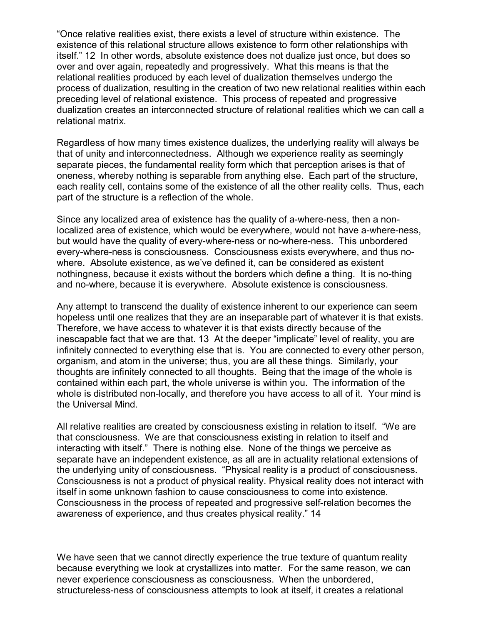ìOnce relative realities exist, there exists a level of structure within existence. The existence of this relational structure allows existence to form other relationships with itself.î 12 In other words, absolute existence does not dualize just once, but does so over and over again, repeatedly and progressively. What this means is that the relational realities produced by each level of dualization themselves undergo the process of dualization, resulting in the creation of two new relational realities within each preceding level of relational existence. This process of repeated and progressive dualization creates an interconnected structure of relational realities which we can call a relational matrix.

Regardless of how many times existence dualizes, the underlying reality will always be that of unity and interconnectedness. Although we experience reality as seemingly separate pieces, the fundamental reality form which that perception arises is that of oneness, whereby nothing is separable from anything else. Each part of the structure, each reality cell, contains some of the existence of all the other reality cells. Thus, each part of the structure is a reflection of the whole.

Since any localized area of existence has the quality of a-where-ness, then a nonlocalized area of existence, which would be everywhere, would not have a-where-ness, but would have the quality of every-where-ness or no-where-ness. This unbordered every-where-ness is consciousness. Consciousness exists everywhere, and thus nowhere. Absolute existence, as we've defined it, can be considered as existent nothingness, because it exists without the borders which define a thing. It is no-thing and no-where, because it is everywhere. Absolute existence is consciousness.

Any attempt to transcend the duality of existence inherent to our experience can seem hopeless until one realizes that they are an inseparable part of whatever it is that exists. Therefore, we have access to whatever it is that exists directly because of the inescapable fact that we are that. 13 At the deeper "implicate" level of reality, you are infinitely connected to everything else that is. You are connected to every other person, organism, and atom in the universe; thus, you are all these things. Similarly, your thoughts are infinitely connected to all thoughts. Being that the image of the whole is contained within each part, the whole universe is within you. The information of the whole is distributed non-locally, and therefore you have access to all of it. Your mind is the Universal Mind.

All relative realities are created by consciousness existing in relation to itself. "We are that consciousness. We are that consciousness existing in relation to itself and interacting with itself.î There is nothing else. None of the things we perceive as separate have an independent existence, as all are in actuality relational extensions of the underlying unity of consciousness. "Physical reality is a product of consciousness. Consciousness is not a product of physical reality. Physical reality does not interact with itself in some unknown fashion to cause consciousness to come into existence. Consciousness in the process of repeated and progressive self-relation becomes the awareness of experience, and thus creates physical reality." 14

We have seen that we cannot directly experience the true texture of quantum reality because everything we look at crystallizes into matter. For the same reason, we can never experience consciousness as consciousness. When the unbordered, structureless-ness of consciousness attempts to look at itself, it creates a relational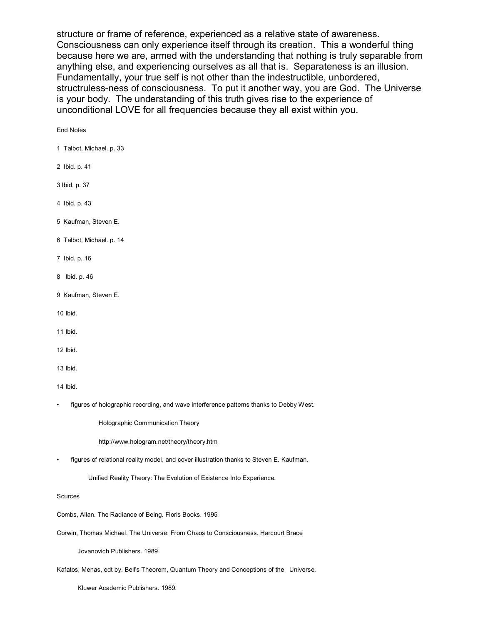structure or frame of reference, experienced as a relative state of awareness. Consciousness can only experience itself through its creation. This a wonderful thing because here we are, armed with the understanding that nothing is truly separable from anything else, and experiencing ourselves as all that is. Separateness is an illusion. Fundamentally, your true self is not other than the indestructible, unbordered, structruless-ness of consciousness. To put it another way, you are God. The Universe is your body. The understanding of this truth gives rise to the experience of unconditional LOVE for all frequencies because they all exist within you.

#### End Notes

1 Talbot, Michael. p. 33

- 2 Ibid. p. 41
- 3 Ibid. p. 37
- 4 Ibid. p. 43
- 5 Kaufman, Steven E.
- 6 Talbot, Michael. p. 14
- 7 Ibid. p. 16
- 8 Ibid. p. 46
- 9 Kaufman, Steven E.
- 10 Ibid.
- 11 Ibid.
- 12 Ibid.
- 13 Ibid.

14 Ibid.

figures of holographic recording, and wave interference patterns thanks to Debby West.

Holographic Communication Theory

http://www.hologram.net/theory/theory.htm

• figures of relational reality model, and cover illustration thanks to Steven E. Kaufman.

Unified Reality Theory: The Evolution of Existence Into Experience.

Sources

Combs, Allan. The Radiance of Being. Floris Books. 1995

Corwin, Thomas Michael. The Universe: From Chaos to Consciousness. Harcourt Brace

Jovanovich Publishers. 1989.

Kafatos, Menas, edt by. Bellís Theorem, Quantum Theory and Conceptions of the Universe.

Kluwer Academic Publishers. 1989.